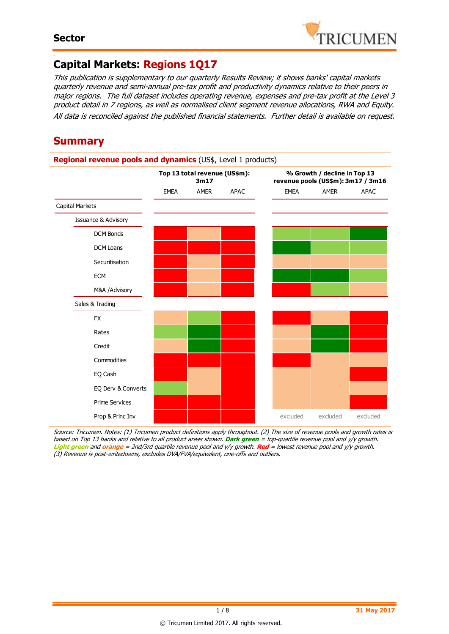

#### - **Capital Markets: Regions 1Q17**

This publication is supplementary to our quarterly Results Review; it shows banks' capital markets quarterly revenue and semi-annual pre-tax profit and productivity dynamics relative to their peers in major regions. The full dataset includes operating revenue, expenses and pre-tax profit at the Level 3 product detail in 7 regions, as well as normalised client segment revenue allocations, RWA and Equity. All data is reconciled against the published financial statements. Further detail is available on request.

### **Summary**

#### **Regional revenue pools and dynamics** (US\$, Level 1 products) EMEA AMER APAC EMEA AMER APAC Capital Markets Issuance & Advisory DCM Bonds DCM Loans Securitisation **FCM** M&A /Advisory Sales & Trading FX Rates Credit Commodities EQ Cash EQ Derv & Converts Prime Services **Prop & Princ Inv** excluded excluded excluded excluded excluded **Top 13 total revenue (US\$m): 3m17 % Growth / decline in Top 13 revenue pools (US\$m): 3m17 / 3m16**

Source: Tricumen. Notes: (1) Tricumen product definitions apply throughout. (2) The size of revenue pools and growth rates is based on Top 13 banks and relative to all product areas shown. **Dark green** = top-quartile revenue pool and y/y growth. **Light green** and **orange** = 2nd/3rd quartile revenue pool and y/y growth. **Red** = lowest revenue pool and y/y growth. (3) Revenue is post-writedowns, excludes DVA/FVA/equivalent, one-offs and outliers.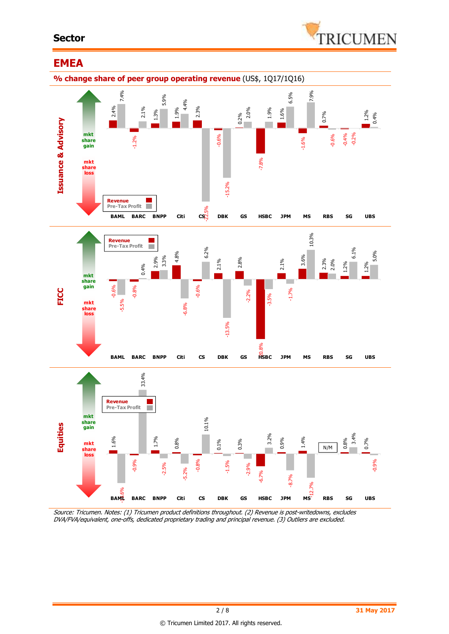#### **Sector**



### **EMEA**



Source: Tricumen. Notes: (1) Tricumen product definitions throughout. (2) Revenue is post-writedowns, excludes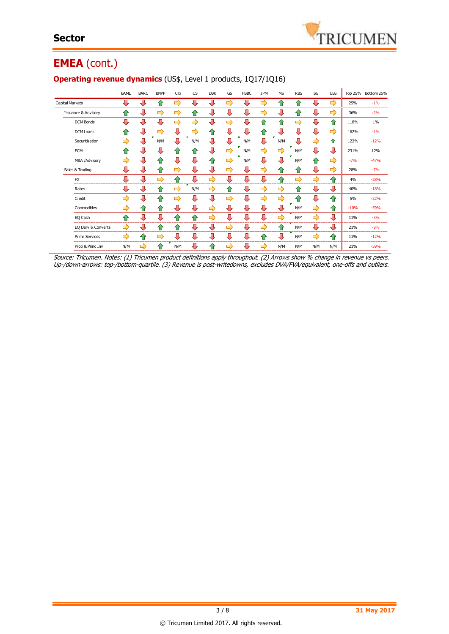

## **EMEA** (cont.)

|                                | <b>BAML</b> | <b>BARC</b> | <b>BNPP</b> | Citi | <b>CS</b>     | <b>DBK</b> | GS | <b>HSBC</b> | <b>JPM</b> | <b>MS</b> | <b>RBS</b> | SG            | <b>UBS</b> |        | Top 25% Bottom 25% |
|--------------------------------|-------------|-------------|-------------|------|---------------|------------|----|-------------|------------|-----------|------------|---------------|------------|--------|--------------------|
| <b>Capital Markets</b>         | ⊕           | ⊕           | ⇑           | ⇨    | ⇩             | ┺          | ⇨  | J           | ⇨          | ങ         | ⇑          | ⊕             | ⇨          | 25%    | $-1%$              |
| <b>Issuance &amp; Advisory</b> | ⇑           | ⊕           | ⇨           | ⇨    | ⇧             | ⇩          | ⇩  | ⇩           | ⇨          | ⊕         | ⇧          | ⊕             | ⇨          | 36%    | $-2%$              |
| <b>DCM Bonds</b>               | ⇩           | ⊕           | ⊕           | ⇨    | $\Rightarrow$ | ⇩          | ⇨  | ⇩           | ⇧          | ⇑         | ⇨          | ⊕             | ⇮          | 118%   | 1%                 |
| <b>DCM Loans</b>               | ⇑           | ⊕           | ⇨           | ⊕    | ⇨             | ⇑          | ⊕  | ⇩           | ⇧          | ⇩         | ⇩          | ⇩             | ⇨          | 162%   | $-1%$              |
| Securitisation                 | ⇨           | ⊕           | N/M         | ⇩    | N/M           | J,         | ⊕  | N/M         | Л          | N/M       | ⇩          | ⇨             | 合          | 122%   | $-12%$             |
| ECM                            | ⇑           | ⊕           | ⊕           | ⇑    | ⇑             | ⇩          | ⇨  | N/M         | ⇨          | ⇨         | N/M        | ⊕             | ⇩          | 231%   | 12%                |
| M&A /Advisory                  | ⇨           | ⊕           | ⇑           | ⊕    | ⇩             | ⇑          | ⇨  | N/M         | ⇩          | ⇩         | N/M        | ⇧             | ⇨          | $-7%$  | $-47%$             |
| Sales & Trading                | ⊕           | ⊕           | 合           | ⇨    | ⊕             | ⊕          | ⇨  | ⊕           | ⇨          | ⇧         | ⇧          | ⊕             | ⇨          | 28%    | $-7%$              |
| <b>FX</b>                      | ⇩           | ⊕           | ⇨           | ⇑    | ⇩             | ⇨          | ⇩  | ⊕           | ⊕          | ⇧         | ⇨          | ⇨             | ⇧          | 4%     | $-28%$             |
| Rates                          | ⊕           | ⊕           | ⇑           | ⇨    | N/M           | ⇨          | ങ  | ⇩           | ⇨          | ⇨         | ⇑          | ⊕             | ⇩          | 40%    | $-18%$             |
| Credit                         | ⇨           | ⊕           | ⇑           | ⇨    | ⊕             | ⊕          | ⇨  | ⇩           | ⇨          | ⇨         | ⇧          | ⊕             | 合          | 5%     | $-22%$             |
| Commodities                    | ⇨           | ⇑           | ⇑           | ⊕    | ⇩             | ⇨          | ⇩  | ⇩           | ⇩          | ⊕         | N/M        | ⇨             | ⇧          | $-10%$ | $-59%$             |
| EQ Cash                        | ⇑           | ⊕           | ⊕           | ⇑    | $\hat{v}$     | ⇨          | ⇩  | ⇩           | ⊕          | ⇨         | N/M        | $\Rightarrow$ | ⊕          | 11%    | $-3%$              |
| EQ Derv & Converts             | ⇨           | ⊕           | 仐           | ♠    | ⊕             | ⊕          | ⇨  | ⊕           | ⇨          | ⇑         | N/M        | ⊕             | ⊕          | 21%    | $-9%$              |
| <b>Prime Services</b>          | ⇨           | ⇑           | ⇨           | ⊕    | ⇩             | ⊕          | ⊕  | ⊕           | ⇑          | ⇩         | N/M        | ➡             | 企          | 11%    | $-12%$             |
| Prop & Princ Inv               | N/M         | ⇨           | ♠           | N/M  | ⊕             | ⇑          | ⇨  | ⇩           | ⇨          | N/M       | N/M        | N/M           | N/M        | 21%    | $-59%$             |

#### **Operating revenue dynamics** (US\$, Level 1 products, 1Q17/1Q16)

Source: Tricumen. Notes: (1) Tricumen product definitions apply throughout. (2) Arrows show % change in revenue vs peers. Up-/down-arrows: top-/bottom-quartile. (3) Revenue is post-writedowns, excludes DVA/FVA/equivalent, one-offs and outliers.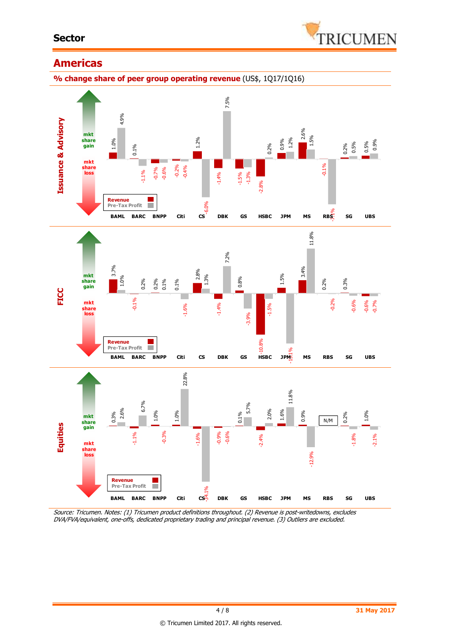#### **Sector**



### **Americas**

**% change share of peer group operating revenue** (US\$, 1Q17/1Q16)



Source: Tricumen. Notes: (1) Tricumen product definitions throughout. (2) Revenue is post-writedowns, excludes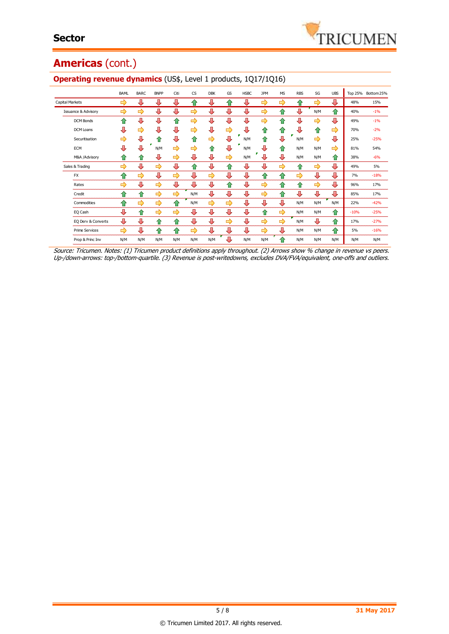## **Americas** (cont.)

|                                | BAML | <b>BARC</b>   | <b>BNPP</b> | Citi          | <b>CS</b> | <b>DBK</b> | GS            | <b>HSBC</b> | <b>JPM</b> | <b>MS</b> | <b>RBS</b> | SG  | <b>UBS</b>    |        | Top 25% Bottom 25% |
|--------------------------------|------|---------------|-------------|---------------|-----------|------------|---------------|-------------|------------|-----------|------------|-----|---------------|--------|--------------------|
| Capital Markets                | ⇨    | ⊕             | ⊕           | ⊕             | ⇑         | ⊕          | ≏             | ⊕           | ⇨          | ⇨         | ⇑          | ⇨   | ⊕             | 48%    | 15%                |
| <b>Issuance &amp; Advisory</b> | ⇨    | $\Rightarrow$ | ⊕           | ⊕             | ⇨         | ⊕          | ⊕             | ⊕           | ⇨          | ⇑         | ⊕          | N/M | 合             | 40%    | $-1%$              |
| <b>DCM Bonds</b>               | ⇑    | л             | ⊕           | 仐             | ⇨         | ⊕          | 具             | 具           | ⇨          | 仐         | ⊕          | ⇨   | ⇩             | 49%    | $-1%$              |
| DCM Loans                      | Д    | $\Rightarrow$ | ⊕           | Д             | ⇨         | ⊕          | $\Rightarrow$ | ⊕           | ⇑          | ⇑         | ⊕          | ⇧   | $\Rightarrow$ | 70%    | $-2%$              |
| Securitisation                 | ⇨    | ⇩             | ⇑           | ⊕             | ⇑         | ⇨          | 具             | N/M         | ⇑          | Д         | N/M        | ⇨   | ⊕             | 25%    | $-25%$             |
| <b>ECM</b>                     | Д    | л             | N/M         | ⇨             | ⇨         | ⇑          | л             | N/M         | л          | ⇑         | N/M        | N/M | ⇨             | 81%    | 54%                |
| M&A /Advisory                  | ⇑    | ⇑             | ⊕           | ⇨             | ⊕         | л          | $\Rightarrow$ | N/M         |            | ⊕         | N/M        | N/M | ⇑             | 38%    | $-6%$              |
| Sales & Trading                | ⇨    | ⇩             | ⇨           | ⊕             | 企         | J          | ⇑             | ⊕           | Д          | ⇨         | ⇑          | ⇨   | ⊕             | 49%    | 5%                 |
| <b>FX</b>                      | ≏    | ⇨             | ⊕           | $\Rightarrow$ | ⊕         | ⇨          | ⊕             | ⊕           | ⇑          | ⇑         | ⇨          | ⊕   | ⊕             | 7%     | $-18%$             |
| Rates                          | ⇨    | ⇩             | ⇨           | ⊕             | ⊕         | ⊕          | ⇑             | ⊕           | ⇨          | 企         | ⇑          | ⇨   | ⊕             | 96%    | 17%                |
| Credit                         | ⇑    | ⇑             | ⇨           | ⇨             | N/M       | ⊕          | ⊕             | ⊕           | ⇨          | 企         | ⊕          | ⊕   | ⊕             | 85%    | 17%                |
| Commodities                    | ⇑    | ⇨             | ⇨           | ⇑             | N/M       | ⇨          | $\Rightarrow$ | ⊕           | л          | ⇩         | N/M        | N/M | N/M           | 22%    | $-42%$             |
| EQ Cash                        | л    | ⇧             | ⇨           | ⇨             | ⊕         | ⊕          | ⊕             | ⊕           | ⇑          | ⇨         | N/M        | N/M | $\bullet$     | $-10%$ | $-25%$             |
| EQ Derv & Converts             | ⊕    | ⊕             | ⇑           | ⇑             | ⊕         | ⊕          | ⇨             | ⊕           | ⇨          | ⇨         | N/M        | ⊕   | ⇑             | 17%    | $-27%$             |
| <b>Prime Services</b>          | ⇨    | л             | ⇑           | ⇑             | ⇨         | ⊕          | ⊕             | ⊕           | ⇨          | ⊕         | N/M        | N/M | 仐             | 5%     | $-16%$             |
| Prop & Princ Inv               | N/M  | N/M           | N/M         | N/M           | N/M       | N/M        | л             | N/M         | N/M        | ⇑         | N/M        | N/M | N/M           | N/M    | N/M                |

#### **Operating revenue dynamics** (US\$, Level 1 products, 1Q17/1Q16)

Source: Tricumen. Notes: (1) Tricumen product definitions apply throughout. (2) Arrows show % change in revenue vs peers. Up-/down-arrows: top-/bottom-quartile. (3) Revenue is post-writedowns, excludes DVA/FVA/equivalent, one-offs and outliers.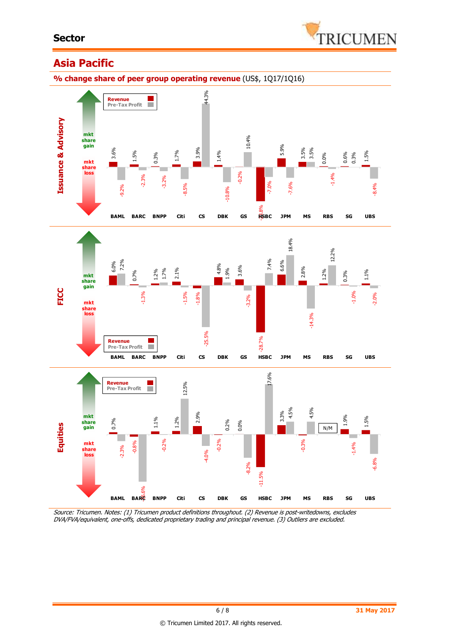

### **Asia Pacific**

**% change share of peer group operating revenue** (US\$, 1Q17/1Q16)



Source: Tricumen. Notes: (1) Tricumen product definitions throughout. (2) Revenue is post-writedowns, excludes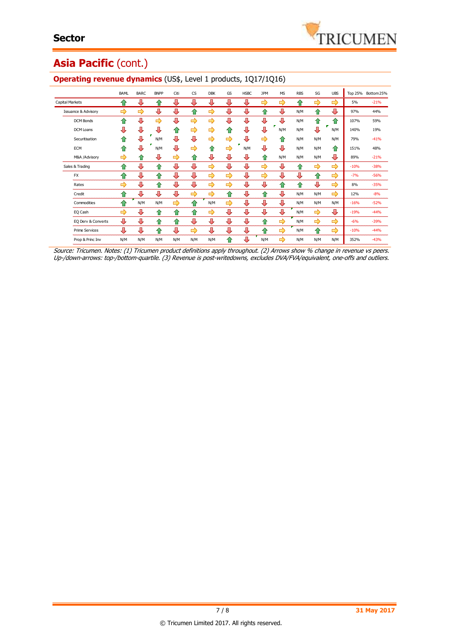# Asia Pacific (cont.)

|                                | BAML | <b>BARC</b> | <b>BNPP</b> | Citi | <b>CS</b> | <b>DBK</b> | GS            | <b>HSBC</b> | <b>JPM</b> | <b>MS</b>     | <b>RBS</b> | SG  | <b>UBS</b>         |        | Top 25% Bottom 25% |
|--------------------------------|------|-------------|-------------|------|-----------|------------|---------------|-------------|------------|---------------|------------|-----|--------------------|--------|--------------------|
| Capital Markets                | ങ    | ⊕           | 仆           | ⊕    | ⊕         | ⊕          | ⊕             | ₩           | ⇨          | $\Rightarrow$ | ⇑          | ⇨   | ⇨                  | 5%     | $-21%$             |
| <b>Issuance &amp; Advisory</b> | ⇨    | ⇨           | ⇩           | ⊕    | ⇑         | ⇨          | ⊕             | л           | ⇑          | ⊕             | N/M        | ⇑   | ⊕                  | 97%    | 44%                |
| <b>DCM Bonds</b>               | ♠    | ⇩           | ⇨           | Д    | ⇨         | ⇨          | ⊕             | ⊕           | ⊕          | л             | N/M        | ⇑   | ⇧                  | 107%   | 59%                |
| <b>DCM Loans</b>               | ⊕    | ⊕           | ⊕           | ⇑    | ⇨         | ⇨          | ⇑             | ⊕           | ⊕          | N/M           | N/M        | ⊕   | N/M                | 140%   | 19%                |
| Securitisation                 | ⇑    | ⇩           | N/M         | Д    | ⊕         | ⇨          | ⇨             | л           | ⇨          | ⇑             | N/M        | N/M | N/M                | 79%    | $-41%$             |
| ECM                            | ♠    | л           | N/M         | ⊕    | ⇨         | ⇑          | ⇨             | N/M         | ⇩          | ⊕             | N/M        | N/M | $\hat{\mathbf{T}}$ | 151%   | 48%                |
| M&A /Advisory                  | ⇨    | ⇑           | ⊕           | ⇨    | ⇑         | ⊕          | ⊕             | ⊕           | ⇑          | N/M           | N/M        | N/M | ⊕                  | 89%    | $-21%$             |
| Sales & Trading                | ♠    | ⇩           | ⇑           | ⊕    | ⊕         | ⇨          | ⊕             | ⇩           | ⇨          | ⊕             | $\bigcirc$ | ⇨   | ⇨                  | $-10%$ | $-38%$             |
| <b>FX</b>                      | ⇑    | л           | ⇑           | ⊕    | ⊕         | ⇨          | $\Rightarrow$ | ⊕           | ⇨          | ⇩             | ⇩          | ⇑   | ⇨                  | $-7%$  | $-56%$             |
| Rates                          | ⇨    | ⊕           | ⇑           | ⊕    | ⊕         | ⇨          | ⇨             | ⊕           | ⊕          | 企             | ⇑          | ⊕   | ⇨                  | 8%     | $-35%$             |
| Credit                         | ⇑    | Ъ           | ⊕           | ⊕    | ⇨         | ⇨          | ⇑             | ⊕           | ⇑          | ⊕             | N/M        | N/M | ⇨                  | 12%    | $-8%$              |
| Commodities                    | ♠    | N/M         | N/M         | ⇨    | ⇑         | N/M        | $\Rightarrow$ | ⊕           | ⊕          | ⊕             | N/M        | N/M | N/M                | $-16%$ | $-52%$             |
| EQ Cash                        | ⇨    | ⇩           | ⇑           | ⇑    | ⇑         | ⇨          | 具             | ⊕           | ⇩          | ⊕             | N/M        | ⇨   | ⊕                  | $-19%$ | $-44%$             |
| EQ Derv & Converts             | ⊕    | ⊕           | 企           | ⇑    | ⊕         | ⊕          | ⊕             | ⊕           | 合          | ⇨             | N/M        | ⇨   | ⇨                  | $-6%$  | $-39%$             |
| <b>Prime Services</b>          | ⊕    | ⊕           | ⇑           | ⊕    | ⇨         | ⊕          | ⊕             | ⊕           | ⇑          | ⇨             | N/M        | ⇑   | ⇨                  | $-10%$ | $-44%$             |
| Prop & Princ Inv               | N/M  | N/M         | N/M         | N/M  | N/M       | N/M        | ⇑             | 具           | N/M        | ⇨             | N/M        | N/M | N/M                | 352%   | $-43%$             |

#### **Operating revenue dynamics** (US\$, Level 1 products, 1Q17/1Q16)

Source: Tricumen. Notes: (1) Tricumen product definitions apply throughout. (2) Arrows show % change in revenue vs peers. Up-/down-arrows: top-/bottom-quartile. (3) Revenue is post-writedowns, excludes DVA/FVA/equivalent, one-offs and outliers.